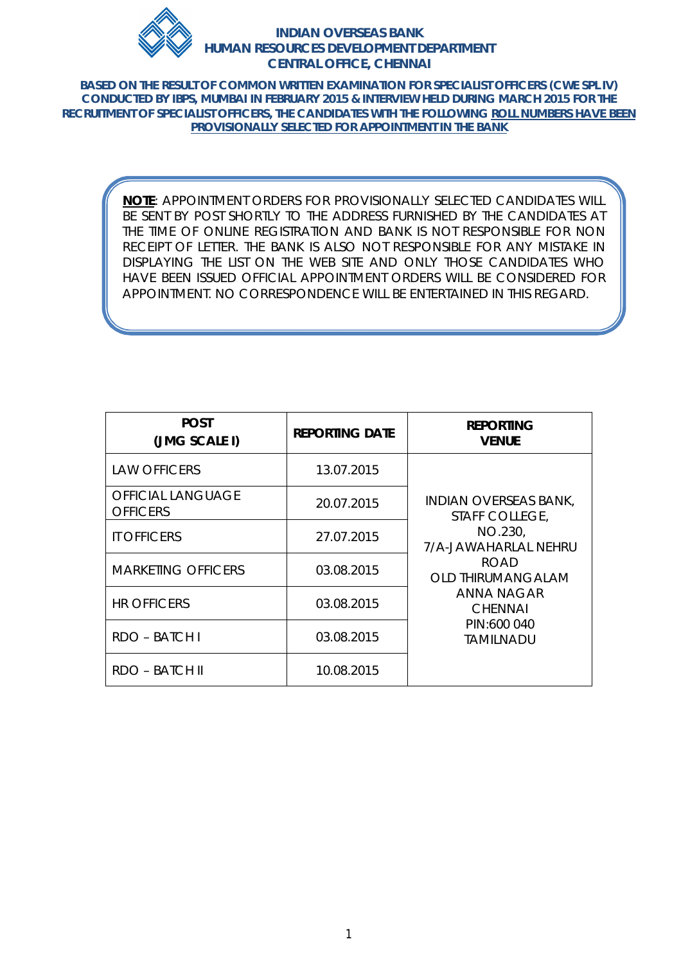

**BASED ON THE RESULT OF COMMON WRITTEN EXAMINATION FOR SPECIALIST OFFICERS (CWE SPL IV) CONDUCTED BY IBPS, MUMBAI IN FEBRUARY 2015 & INTERVIEW HELD DURING MARCH 2015 FOR THE RECRUITMENT OF SPECIALIST OFFICERS, THE CANDIDATES WITH THE FOLLOWING ROLL NUMBERS HAVE BEEN PROVISIONALLY SELECTED FOR APPOINTMENT IN THE BANK**

> **NOTE**: APPOINTMENT ORDERS FOR PROVISIONALLY SELECTED CANDIDATES WILL BE SENT BY POST SHORTLY TO THE ADDRESS FURNISHED BY THE CANDIDATES AT THE TIME OF ONLINE REGISTRATION AND BANK IS NOT RESPONSIBLE FOR NON RECEIPT OF LETTER. THE BANK IS ALSO NOT RESPONSIBLE FOR ANY MISTAKE IN DISPLAYING THE LIST ON THE WEB SITE AND ONLY THOSE CANDIDATES WHO HAVE BEEN ISSUED OFFICIAL APPOINTMENT ORDERS WILL BE CONSIDERED FOR APPOINTMENT. NO CORRESPONDENCE WILL BE ENTERTAINED IN THIS REGARD.

| <b>POST</b><br>(JMG SCALE I)                | <b>REPORTING DATE</b> | <b>REPORTING</b><br><b>VENUE</b>               |
|---------------------------------------------|-----------------------|------------------------------------------------|
| <b>LAW OFFICERS</b>                         | 13.07.2015            |                                                |
| <b>OFFICIAL LANGUAGE</b><br><b>OFFICERS</b> | 20.07.2015            | <b>INDIAN OVERSEAS BANK,</b><br>STAFF COLLEGE, |
| <b>IT OFFICERS</b>                          | 27.07.2015            | NO.230,<br>7/A-JAWAHARLAL NEHRU                |
| <b>MARKETING OFFICERS</b>                   | 03.08.2015            | <b>ROAD</b><br><b>OLD THIRUMANGALAM</b>        |
| <b>HR OFFICERS</b>                          | 03.08.2015            | ANNA NAGAR<br><b>CHENNAL</b>                   |
| RDO - BATCH I                               | 03.08.2015            | PIN:600 040<br>TAMILNADU                       |
| RDO – BATCH II                              | 10.08.2015            |                                                |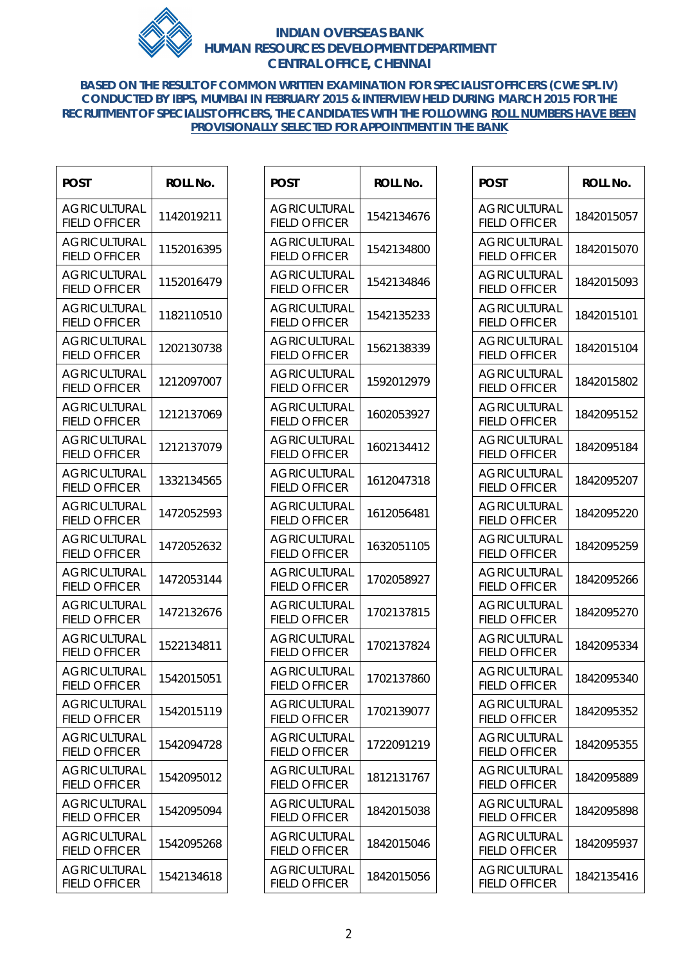

**BASED ON THE RESULT OF COMMON WRITTEN EXAMINATION FOR SPECIALIST OFFICERS (CWE SPL IV) CONDUCTED BY IBPS, MUMBAI IN FEBRUARY 2015 & INTERVIEW HELD DURING MARCH 2015 FOR THE RECRUITMENT OF SPECIALIST OFFICERS, THE CANDIDATES WITH THE FOLLOWING ROLL NUMBERS HAVE BEEN PROVISIONALLY SELECTED FOR APPOINTMENT IN THE BANK**

 $\top$ 

 $\overline{\phantom{a}}$ 

 $\blacksquare$ 

| <b>POST</b>                                 | <b>ROLL No.</b> |
|---------------------------------------------|-----------------|
| <b>AGRICULTURAL</b><br><b>FIELD OFFICER</b> | 1142019211      |
| <b>AGRICULTURAL</b><br><b>FIELD OFFICER</b> | 1152016395      |
| <b>AGRICULTURAL</b><br><b>FIELD OFFICER</b> | 1152016479      |
| <b>AGRICULTURAL</b><br><b>FIELD OFFICER</b> | 1182110510      |
| <b>AGRICULTURAL</b><br><b>FIELD OFFICER</b> | 1202130738      |
| <b>AGRICULTURAL</b><br><b>FIELD OFFICER</b> | 1212097007      |
| <b>AGRICULTURAL</b><br><b>FIELD OFFICER</b> | 1212137069      |
| <b>AGRICULTURAL</b><br><b>FIELD OFFICER</b> | 1212137079      |
| <b>AGRICULTURAL</b><br>FIELD OFFICER        | 1332134565      |
| <b>AGRICULTURAL</b><br><b>FIELD OFFICER</b> | 1472052593      |
| <b>AGRICULTURAL</b><br><b>FIELD OFFICER</b> | 1472052632      |
| <b>AGRICULTURAL</b><br><b>FIELD OFFICER</b> | 1472053144      |
| AGRICULTURAL<br><b>FIELD OFFICER</b>        | 1472132676      |
| <b>AGRICULTURAL</b><br><b>FIELD OFFICER</b> | 1522134811      |
| <b>AGRICULTURAL</b><br><b>FIELD OFFICER</b> | 1542015051      |
| <b>AGRICULTURAL</b><br><b>FIELD OFFICER</b> | 1542015119      |
| <b>AGRICULTURAL</b><br><b>FIELD OFFICER</b> | 1542094728      |
| <b>AGRICULTURAL</b><br><b>FIELD OFFICER</b> | 1542095012      |
| <b>AGRICULTURAL</b><br><b>FIELD OFFICER</b> | 1542095094      |
| <b>AGRICULTURAL</b><br><b>FIELD OFFICER</b> | 1542095268      |
| <b>AGRICULTURAL</b><br><b>FIELD OFFICER</b> | 1542134618      |

| <b>POST</b>                                 | <b>ROLL No.</b> |
|---------------------------------------------|-----------------|
| <b>AGRICULTURAL</b><br><b>FIELD OFFICER</b> | 1542134676      |
| AGRICULTURAL<br><b>FIELD OFFICER</b>        | 1542134800      |
| <b>AGRICULTURAL</b><br><b>FIELD OFFICER</b> | 1542134846      |
| <b>AGRICULTURAL</b><br>FIELD OFFICER        | 1542135233      |
| <b>AGRICULTURAL</b><br><b>FIELD OFFICER</b> | 1562138339      |
| AGRICULTURAL<br><b>FIELD OFFICER</b>        | 1592012979      |
| <b>AGRICULTURAL</b><br><b>FIELD OFFICER</b> | 1602053927      |
| AGRICULTURAL<br>FIELD OFFICER               | 1602134412      |
| <b>AGRICULTURAL</b><br>FIELD OFFICER        | 1612047318      |
| <b>AGRICULTURAL</b><br><b>FIELD OFFICER</b> | 1612056481      |
| AGRICULTURAL<br><b>FIELD OFFICER</b>        | 1632051105      |
| <b>AGRICULTURAL</b><br><b>FIELD OFFICER</b> | 1702058927      |
| AGRICULTURAL<br><b>FIELD OFFICER</b>        | 1702137815      |
| <b>AGRICULTURAL</b><br><b>FIELD OFFICER</b> | 1702137824      |
| <b>AGRICULTURAL</b><br><b>FIELD OFFICER</b> | 1702137860      |
| AGRICULTURAL<br>FIFLD OFFICER               | 1702139077      |
| AGRICULTURAL<br><b>FIELD OFFICER</b>        | 1722091219      |
| AGRICULTURAL<br><b>FIELD OFFICER</b>        | 1812131767      |
| <b>AGRICULTURAL</b><br><b>FIELD OFFICER</b> | 1842015038      |
| <b>AGRICULTURAL</b><br><b>FIELD OFFICER</b> | 1842015046      |
| AGRICULTURAL<br><b>FIELD OFFICER</b>        | 1842015056      |

| POST                                        | <b>ROLL No.</b> |
|---------------------------------------------|-----------------|
| AGRICULTURAL<br><b>FIELD OFFICER</b>        | 1842015057      |
| AGRICULTURAL<br>FIELD OFFICER               | 1842015070      |
| <b>AGRICULTURAL</b><br><b>FIELD OFFICER</b> | 1842015093      |
| <b>AGRICULTURAL</b><br><b>FIELD OFFICER</b> | 1842015101      |
| AGRICULTURAL<br><b>FIELD OFFICER</b>        | 1842015104      |
| AGRICULTURAL<br>FIELD OFFICER               | 1842015802      |
| AGRICULTURAL<br><b>FIELD OFFICER</b>        | 1842095152      |
| AGRICUI TURAI<br><b>FIELD OFFICER</b>       | 1842095184      |
| <b>AGRICULTURAL</b><br><b>FIELD OFFICER</b> | 1842095207      |
| AGRICULTURAL<br><b>FIELD OFFICER</b>        | 1842095220      |
| AGRICULTURAL<br><b>FIELD OFFICER</b>        | 1842095259      |
| AGRICULTURAL<br>FIELD OFFICER               | 1842095266      |
| AGRICULTURAL<br><b>FIELD OFFICER</b>        | 1842095270      |
| <b>AGRICULTURAL</b><br><b>FIELD OFFICER</b> | 1842095334      |
| AGRICUI TURAI<br><b>FIELD OFFICER</b>       | 1842095340      |
| <b>AGRICULTURAL</b><br><b>FIELD OFFICER</b> | 1842095352      |
| AGRICULTURAL<br><b>FIELD OFFICER</b>        | 1842095355      |
| <b>AGRICULTURAL</b><br><b>FIELD OFFICER</b> | 1842095889      |
| <b>AGRICULTURAL</b><br><b>FIELD OFFICER</b> | 1842095898      |
| <b>AGRICULTURAL</b><br><b>FIELD OFFICER</b> | 1842095937      |
| <b>AGRICULTURAL</b><br><b>FIELD OFFICER</b> | 1842135416      |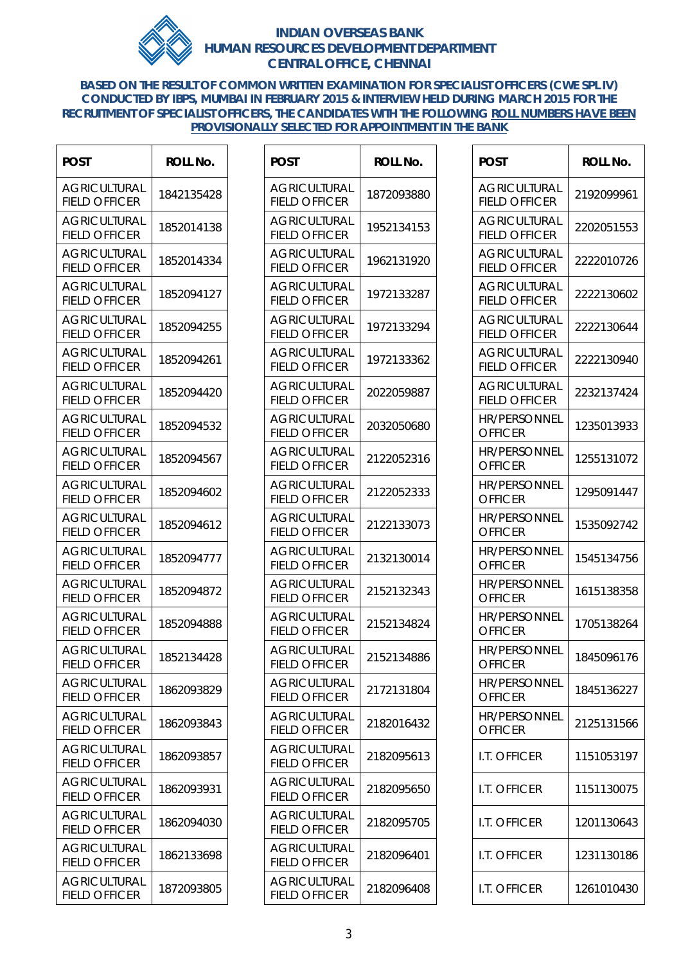

**BASED ON THE RESULT OF COMMON WRITTEN EXAMINATION FOR SPECIALIST OFFICERS (CWE SPL IV) CONDUCTED BY IBPS, MUMBAI IN FEBRUARY 2015 & INTERVIEW HELD DURING MARCH 2015 FOR THE RECRUITMENT OF SPECIALIST OFFICERS, THE CANDIDATES WITH THE FOLLOWING ROLL NUMBERS HAVE BEEN PROVISIONALLY SELECTED FOR APPOINTMENT IN THE BANK**

 $\overline{1}$  , and the contract of  $\overline{1}$  , and the contract of  $\overline{1}$ 

| POST                                        | ROLL No.   |
|---------------------------------------------|------------|
| <b>AGRICULTURAL</b><br><b>FIELD OFFICER</b> | 1842135428 |
| <b>AGRICULTURAL</b><br>FIELD OFFICER        | 1852014138 |
| <b>AGRICULTURAL</b><br><b>FIELD OFFICER</b> | 1852014334 |
| <b>AGRICULTURAL</b><br><b>FIELD OFFICER</b> | 1852094127 |
| <b>AGRICULTURAL</b><br><b>FIELD OFFICER</b> | 1852094255 |
| <b>AGRICULTURAL</b><br><b>FIELD OFFICER</b> | 1852094261 |
| <b>AGRICULTURAL</b><br>FIELD OFFICER        | 1852094420 |
| <b>AGRICULTURAL</b><br><b>FIELD OFFICER</b> | 1852094532 |
| <b>AGRICULTURAL</b><br><b>FIELD OFFICER</b> | 1852094567 |
| <b>AGRICULTURAL</b><br><b>FIELD OFFICER</b> | 1852094602 |
| <b>AGRICULTURAL</b><br><b>FIELD OFFICER</b> | 1852094612 |
| AGRICULTURAL<br>FIELD OFFICER               | 1852094777 |
| AGRICULTURAL<br><b>FIELD OFFICER</b>        | 1852094872 |
| <b>AGRICULTURAL</b><br><b>FIELD OFFICER</b> | 1852094888 |
| <b>AGRICULTURAL</b><br><b>FIELD OFFICER</b> | 1852134428 |
| <b>AGRICULTURAL</b><br><b>FIELD OFFICER</b> | 1862093829 |
| <b>AGRICULTURAL</b><br><b>FIELD OFFICER</b> | 1862093843 |
| <b>AGRICULTURAL</b><br>FIELD OFFICER        | 1862093857 |
| <b>AGRICULTURAL</b><br>FIELD OFFICER        | 1862093931 |
| <b>AGRICULTURAL</b><br><b>FIELD OFFICER</b> | 1862094030 |
| <b>AGRICULTURAL</b><br><b>FIELD OFFICER</b> | 1862133698 |
| <b>AGRICULTURAL</b><br><b>FIELD OFFICER</b> | 1872093805 |

| POST                                        | <b>ROLL No.</b> |
|---------------------------------------------|-----------------|
| <b>AGRICULTURAL</b><br><b>FIELD OFFICER</b> | 1872093880      |
| <b>AGRICULTURAL</b><br><b>FIELD OFFICER</b> | 1952134153      |
| <b>AGRICULTURAL</b><br><b>FIELD OFFICER</b> | 1962131920      |
| <b>AGRICULTURAL</b><br><b>FIELD OFFICER</b> | 1972133287      |
| AGRICULTURAL<br><b>FIELD OFFICER</b>        | 1972133294      |
| AGRICULTURAL<br><b>FIELD OFFICER</b>        | 1972133362      |
| AGRICULTURAL<br><b>FIELD OFFICER</b>        | 2022059887      |
| <b>AGRICULTURAL</b><br><b>FIELD OFFICER</b> | 2032050680      |
| <b>AGRICULTURAL</b><br><b>FIELD OFFICER</b> | 2122052316      |
| AGRICULTURAL<br><b>FIELD OFFICER</b>        | 2122052333      |
| AGRICULTURAL<br><b>FIELD OFFICER</b>        | 2122133073      |
| <b>AGRICULTURAL</b><br><b>FIELD OFFICER</b> | 2132130014      |
| <b>AGRICULTURAL</b><br><b>FIELD OFFICER</b> | 2152132343      |
| <b>AGRICULTURAL</b><br><b>FIELD OFFICER</b> | 2152134824      |
| <b>AGRICULTURAL</b><br>FIELD OFFICER        | 2152134886      |
| <b>AGRICULTURAL</b><br><b>FIELD OFFICER</b> | 2172131804      |
| <b>AGRICULTURAL</b><br><b>FIELD OFFICER</b> | 2182016432      |
| <b>AGRICULTURAL</b><br><b>FIELD OFFICER</b> | 2182095613      |
| <b>AGRICULTURAL</b><br><b>FIELD OFFICER</b> | 2182095650      |
| <b>AGRICULTURAL</b><br><b>FIELD OFFICER</b> | 2182095705      |
| <b>AGRICULTURAL</b><br><b>FIELD OFFICER</b> | 2182096401      |
| Agricultural<br>FIELD OFFICER               | 2182096408      |

| <b>POST</b>                                 | <b>ROLL No.</b> |
|---------------------------------------------|-----------------|
| <b>AGRICULTURAL</b><br><b>FIELD OFFICER</b> | 2192099961      |
| AGRICULTURAL<br><b>FIELD OFFICER</b>        | 2202051553      |
| <b>AGRICULTURAL</b><br><b>FIELD OFFICER</b> | 2222010726      |
| Agricultural<br>FIELD OFFICER               | 2222130602      |
| Agricultural<br>FIELD OFFICER               | 2222130644      |
| <b>AGRICULTURAL</b><br><b>FIELD OFFICER</b> | 2222130940      |
| AGRICULTURAL<br><b>FIELD OFFICER</b>        | 2232137424      |
| <b>HR/PERSONNEL</b><br><b>OFFICER</b>       | 1235013933      |
| HR/PFRSONNFI<br><b>OFFICER</b>              | 1255131072      |
| <b>HR/PERSONNEL</b><br><b>OFFICER</b>       | 1295091447      |
| <b>HR/PERSONNEL</b><br><b>OFFICER</b>       | 1535092742      |
| <b>HR/PERSONNEL</b><br><b>OFFICER</b>       | 1545134756      |
| <b>HR/PERSONNEL</b><br><b>OFFICER</b>       | 1615138358      |
| <b>HR/PERSONNEL</b><br><b>OFFICER</b>       | 1705138264      |
| <b>HR/PERSONNEL</b><br><b>OFFICER</b>       | 1845096176      |
| <b>HR/PERSONNEL</b><br><b>OFFICER</b>       | 1845136227      |
| <b>HR/PERSONNEL</b><br><b>OFFICER</b>       | 2125131566      |
| I.T. OFFICER                                | 1151053197      |
| I.T. OFFICER                                | 1151130075      |
| I.T. OFFICER                                | 1201130643      |
| I.T. OFFICER                                | 1231130186      |
| I.T. OFFICER                                | 1261010430      |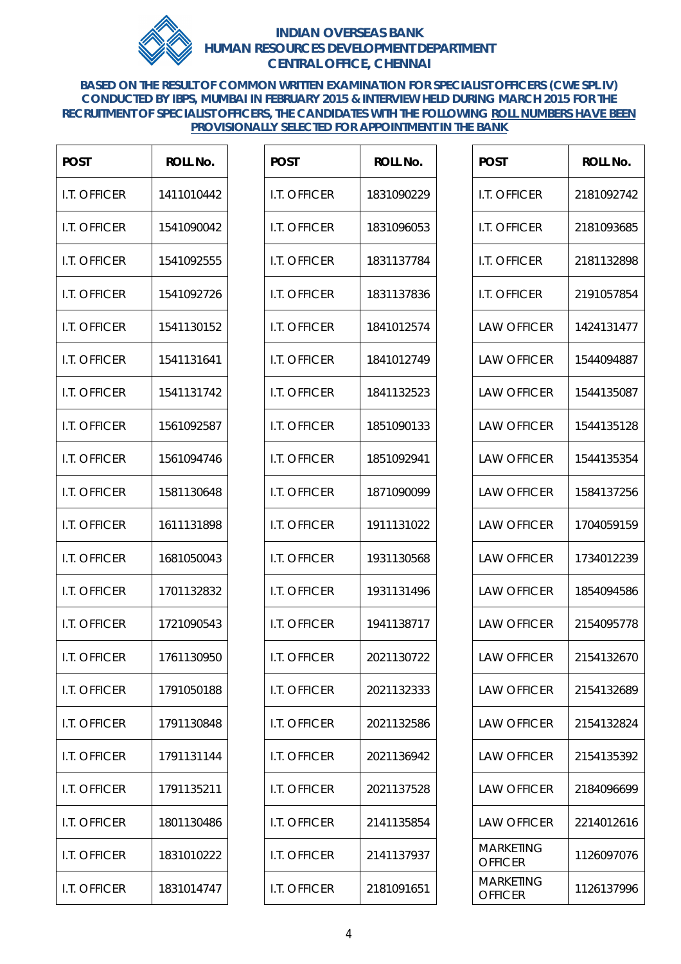

**BASED ON THE RESULT OF COMMON WRITTEN EXAMINATION FOR SPECIALIST OFFICERS (CWE SPL IV) CONDUCTED BY IBPS, MUMBAI IN FEBRUARY 2015 & INTERVIEW HELD DURING MARCH 2015 FOR THE RECRUITMENT OF SPECIALIST OFFICERS, THE CANDIDATES WITH THE FOLLOWING ROLL NUMBERS HAVE BEEN PROVISIONALLY SELECTED FOR APPOINTMENT IN THE BANK**

| <b>POST</b>         | <b>ROLL No.</b> |
|---------------------|-----------------|
| I.T. OFFICER        | 1411010442      |
| I.T. OFFICER        | 1541090042      |
| <b>I.T. OFFICER</b> | 1541092555      |
| I.T. OFFICER        | 1541092726      |
| <b>I.T. OFFICER</b> | 1541130152      |
| I.T. OFFICER        | 1541131641      |
| I.T. OFFICER        | 1541131742      |
| <b>I.T. OFFICER</b> | 1561092587      |
| I.T. OFFICER        | 1561094746      |
| <b>I.T. OFFICER</b> | 1581130648      |
| I.T. OFFICER        | 1611131898      |
| I.T. OFFICER        | 1681050043      |
| I.T. OFFICER        | 1701132832      |
| <b>I.T. OFFICER</b> | 1721090543      |
| I.T. OFFICER        | 1761130950      |
| I.T. OFFICER        | 1791050188      |
| I.T. OFFICER        | 1791130848      |
| I.T. OFFICER        | 1791131144      |
| I.T. OFFICER        | 1791135211      |
| I.T. OFFICER        | 1801130486      |
| I.T. OFFICER        | 1831010222      |
| I.T. OFFICER        | 1831014747      |

| <b>POST</b>         | <b>ROLL No.</b> |
|---------------------|-----------------|
| I.T. OFFICER        | 1831090229      |
| I.T. OFFICER        | 1831096053      |
| <b>I.T. OFFICER</b> | 1831137784      |
| I.T. OFFICER        | 1831137836      |
| <b>I.T. OFFICER</b> | 1841012574      |
| I.T. OFFICER        | 1841012749      |
| I.T. OFFICER        | 1841132523      |
| I.T. OFFICER        | 1851090133      |
| I.T. OFFICER        | 1851092941      |
| <b>I.T. OFFICER</b> | 1871090099      |
| I.T. OFFICER        | 1911131022      |
| <b>I.T. OFFICER</b> | 1931130568      |
| I.T. OFFICER        | 1931131496      |
| I.T. OFFICER        | 1941138717      |
| I.T. OFFICER        | 2021130722      |
| I.T. OFFICER        | 2021132333      |
| I.T. OFFICER        | 2021132586      |
| I.T. OFFICER        | 2021136942      |
| I.T. OFFICER        | 2021137528      |
| I.T. OFFICER        | 2141135854      |
| I.T. OFFICER        | 2141137937      |
| I.T. OFFICER        | 2181091651      |

| <b>POST</b>                 | <b>ROLL No.</b> |
|-----------------------------|-----------------|
| I.T. OFFICER                | 2181092742      |
| I.T. OFFICER                | 2181093685      |
| I.T. OFFICER                | 2181132898      |
| I.T. OFFICER                | 2191057854      |
| <b>LAW OFFICER</b>          | 1424131477      |
| LAW OFFICER                 | 1544094887      |
| <b>I AW OFFICFR</b>         | 1544135087      |
| <b>LAW OFFICER</b>          | 1544135128      |
| <b>LAW OFFICER</b>          | 1544135354      |
| <b>LAW OFFICER</b>          | 1584137256      |
| <b>LAW OFFICER</b>          | 1704059159      |
| <b>LAW OFFICER</b>          | 1734012239      |
| <b>I AW OFFICFR</b>         | 1854094586      |
| <b>I AW OFFICFR</b>         | 2154095778      |
| <b>LAW OFFICER</b>          | 2154132670      |
| <b>LAW OFFICER</b>          | 2154132689      |
| LAW OFFICER                 | 2154132824      |
| <b>I AW OFFICFR</b>         | 2154135392      |
| LAW OFFICER                 | 2184096699      |
| <b>LAW OFFICER</b>          | 2214012616      |
| Marketing<br>OFFICER        | 1126097076      |
| Marketing<br><b>OFFICER</b> | 1126137996      |